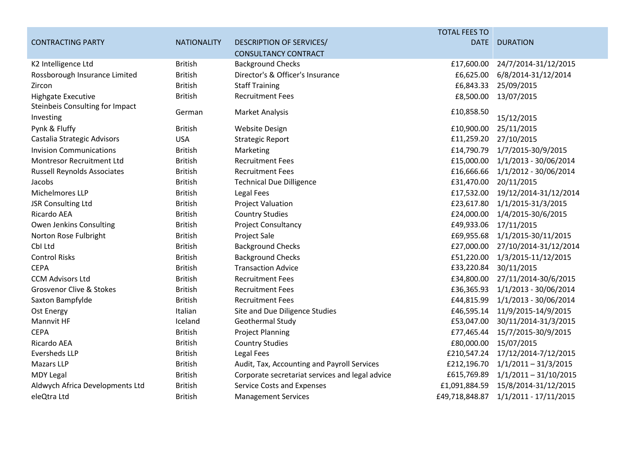|                                                     |                    |                                                 | <b>TOTAL FEES TO</b> |                         |
|-----------------------------------------------------|--------------------|-------------------------------------------------|----------------------|-------------------------|
| <b>CONTRACTING PARTY</b>                            | <b>NATIONALITY</b> | DESCRIPTION OF SERVICES/                        | <b>DATE</b>          | <b>DURATION</b>         |
|                                                     |                    | <b>CONSULTANCY CONTRACT</b>                     |                      |                         |
| K2 Intelligence Ltd                                 | <b>British</b>     | <b>Background Checks</b>                        | £17,600.00           | 24/7/2014-31/12/2015    |
| Rossborough Insurance Limited                       | <b>British</b>     | Director's & Officer's Insurance                | £6,625.00            | 6/8/2014-31/12/2014     |
| Zircon                                              | <b>British</b>     | <b>Staff Training</b>                           | £6,843.33            | 25/09/2015              |
| <b>Highgate Executive</b>                           | <b>British</b>     | <b>Recruitment Fees</b>                         | £8,500.00            | 13/07/2015              |
| <b>Steinbeis Consulting for Impact</b><br>Investing | German             | <b>Market Analysis</b>                          | £10,858.50           | 15/12/2015              |
| Pynk & Fluffy                                       | <b>British</b>     | <b>Website Design</b>                           | £10,900.00           | 25/11/2015              |
| Castalia Strategic Advisors                         | <b>USA</b>         | <b>Strategic Report</b>                         | £11,259.20           | 27/10/2015              |
| <b>Invision Communications</b>                      | <b>British</b>     | Marketing                                       | £14,790.79           | 1/7/2015-30/9/2015      |
| <b>Montresor Recruitment Ltd</b>                    | <b>British</b>     | <b>Recruitment Fees</b>                         | £15,000.00           | 1/1/2013 - 30/06/2014   |
| <b>Russell Reynolds Associates</b>                  | <b>British</b>     | <b>Recruitment Fees</b>                         | £16,666.66           | 1/1/2012 - 30/06/2014   |
| Jacobs                                              | <b>British</b>     | <b>Technical Due Dilligence</b>                 | £31,470.00           | 20/11/2015              |
| Michelmores LLP                                     | <b>British</b>     | Legal Fees                                      | £17,532.00           | 19/12/2014-31/12/2014   |
| JSR Consulting Ltd                                  | <b>British</b>     | <b>Project Valuation</b>                        | £23,617.80           | 1/1/2015-31/3/2015      |
| Ricardo AEA                                         | <b>British</b>     | <b>Country Studies</b>                          | £24,000.00           | 1/4/2015-30/6/2015      |
| Owen Jenkins Consulting                             | <b>British</b>     | Project Consultancy                             | £49,933.06           | 17/11/2015              |
| Norton Rose Fulbright                               | <b>British</b>     | Project Sale                                    | £69,955.68           | 1/1/2015-30/11/2015     |
| CbI Ltd                                             | <b>British</b>     | <b>Background Checks</b>                        | £27,000.00           | 27/10/2014-31/12/2014   |
| <b>Control Risks</b>                                | <b>British</b>     | <b>Background Checks</b>                        | £51,220.00           | 1/3/2015-11/12/2015     |
| <b>CEPA</b>                                         | <b>British</b>     | <b>Transaction Advice</b>                       | £33,220.84           | 30/11/2015              |
| <b>CCM Advisors Ltd</b>                             | <b>British</b>     | <b>Recruitment Fees</b>                         | £34,800.00           | 27/11/2014-30/6/2015    |
| <b>Grosvenor Clive &amp; Stokes</b>                 | <b>British</b>     | <b>Recruitment Fees</b>                         | £36,365.93           | 1/1/2013 - 30/06/2014   |
| Saxton Bampfylde                                    | <b>British</b>     | <b>Recruitment Fees</b>                         | £44,815.99           | 1/1/2013 - 30/06/2014   |
| Ost Energy                                          | Italian            | Site and Due Diligence Studies                  | £46,595.14           | 11/9/2015-14/9/2015     |
| Mannvit HF                                          | Iceland            | Geothermal Study                                | £53,047.00           | 30/11/2014-31/3/2015    |
| <b>CEPA</b>                                         | <b>British</b>     | <b>Project Planning</b>                         | £77,465.44           | 15/7/2015-30/9/2015     |
| Ricardo AEA                                         | <b>British</b>     | <b>Country Studies</b>                          | £80,000.00           | 15/07/2015              |
| <b>Eversheds LLP</b>                                | <b>British</b>     | <b>Legal Fees</b>                               | £210,547.24          | 17/12/2014-7/12/2015    |
| <b>Mazars LLP</b>                                   | <b>British</b>     | Audit, Tax, Accounting and Payroll Services     | £212,196.70          | $1/1/2011 - 31/3/2015$  |
| <b>MDY Legal</b>                                    | <b>British</b>     | Corporate secretariat services and legal advice | £615,769.89          | $1/1/2011 - 31/10/2015$ |
| Aldwych Africa Developments Ltd                     | <b>British</b>     | <b>Service Costs and Expenses</b>               | £1,091,884.59        | 15/8/2014-31/12/2015    |
| eleQtra Ltd                                         | <b>British</b>     | <b>Management Services</b>                      | £49,718,848.87       | 1/1/2011 - 17/11/2015   |
|                                                     |                    |                                                 |                      |                         |